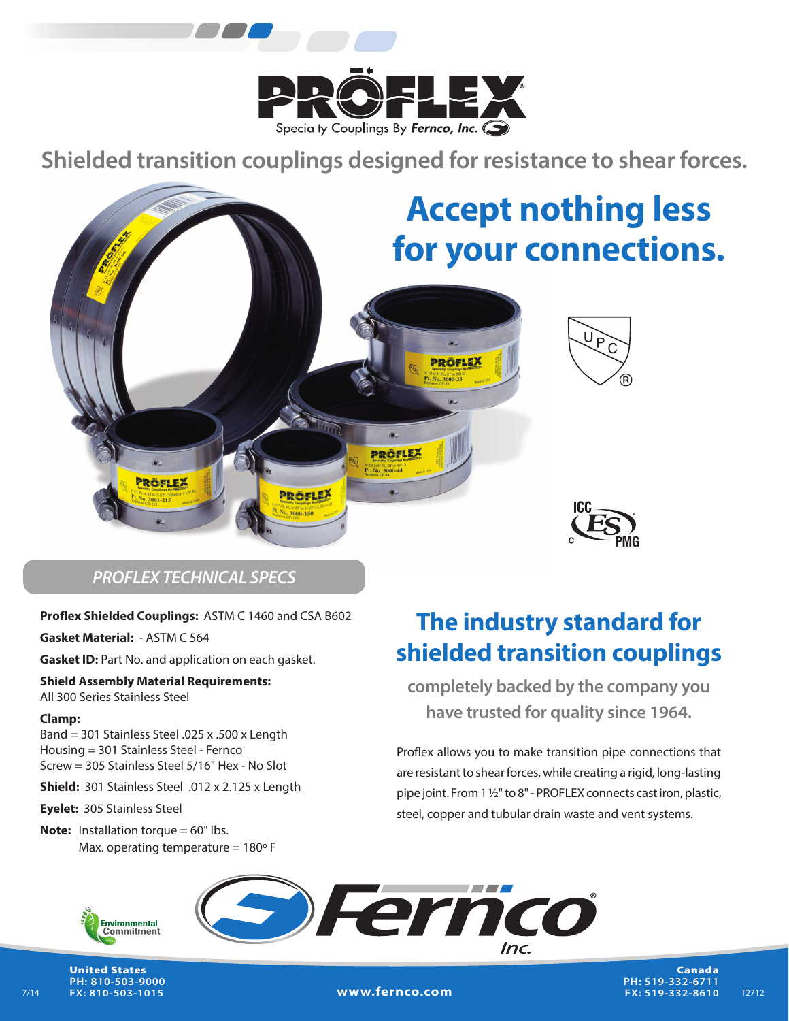

**Shielded transition couplings designed for resistance to shear forces.**



# *PROFLEX TECHNICAL SPECS*

#### **Proflex Shielded Couplings:** ASTM C 1460 and CSA B602

**Gasket Material:** - ASTM C 564

**Gasket ID:** Part No. and application on each gasket.

**Shield Assembly Material Requirements:** All 300 Series Stainless Steel

#### **Clamp:**

Band = 301 Stainless Steel .025 x .500 x Length Housing = 301 Stainless Steel - Fernco Screw = 305 Stainless Steel 5/16" Hex - No Slot

**Shield:** 301 Stainless Steel .012 x 2.125 x Length

**Eyelet:** 305 Stainless Steel

Max. operating temperature =  $180^\circ$  F **Note:** Installation torque = 60" lbs.

# **The industry standard for shielded transition couplings**

**completely backed by the company you have trusted for quality since 1964.**

Proflex allows you to make transition pipe connections that are resistant to shear forces, while creating a rigid, long-lasting pipe joint. From 1 ½" to 8" - PROFLEX connects cast iron, plastic, steel, copper and tubular drain waste and vent systems.



United States **PH: 810-503-9000 FX: 810-503-1015**